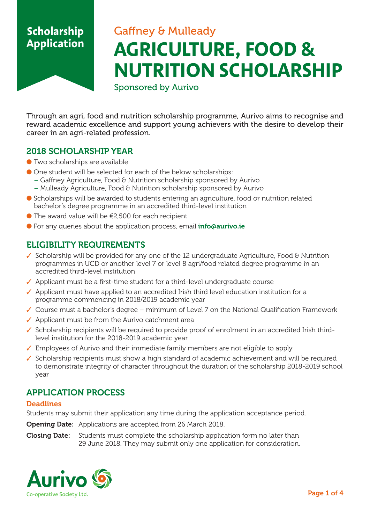# Gaffney & Mulleady **AGRICULTURE, FOOD & NUTRITION SCHOLARSHIP**

Sponsored by Aurivo

Through an agri, food and nutrition scholarship programme, Aurivo aims to recognise and reward academic excellence and support young achievers with the desire to develop their career in an agri-related profession.

### **2018 SCHOLARSHIP YEAR**

- $\bullet$  Two scholarships are available
- One student will be selected for each of the below scholarships:
	- Gaffney Agriculture, Food & Nutrition scholarship sponsored by Aurivo
	- Mulleady Agriculture, Food & Nutrition scholarship sponsored by Aurivo
- Scholarships will be awarded to students entering an agriculture, food or nutrition related bachelor's degree programme in an accredited third-level institution
- $\bullet$  The award value will be  $\epsilon$ 2,500 for each recipient
- For any queries about the application process, email **info@aurivo.ie**

## **ELIGIBILITY REQUIREMENTS**

- ✓ Scholarship will be provided for any one of the 12 undergraduate Agriculture, Food & Nutrition programmes in UCD or another level 7 or level 8 agri/food related degree programme in an accredited third-level institution
- ✓ Applicant must be a first-time student for a third-level undergraduate course
- ✓ Applicant must have applied to an accredited Irish third level education institution for a programme commencing in 2018/2019 academic year
- ✓ Course must a bachelor's degree minimum of Level 7 on the National Qualification Framework
- $\sqrt{\phantom{a}}$  Applicant must be from the Aurivo catchment area
- ✓ Scholarship recipients will be required to provide proof of enrolment in an accredited Irish third level institution for the 2018-2019 academic year
- ✓ Employees of Aurivo and their immediate family members are not eligible to apply
- ✓ Scholarship recipients must show a high standard of academic achievement and will be required to demonstrate integrity of character throughout the duration of the scholarship 2018-2019 school year

## **APPLICATION PROCESS**

### **Deadlines**

Students may submit their application any time during the application acceptance period.

**Opening Date:** Applications are accepted from 26 March 2018.

**Closing Date:** Students must complete the scholarship application form no later than 29 June 2018. They may submit only one application for consideration.

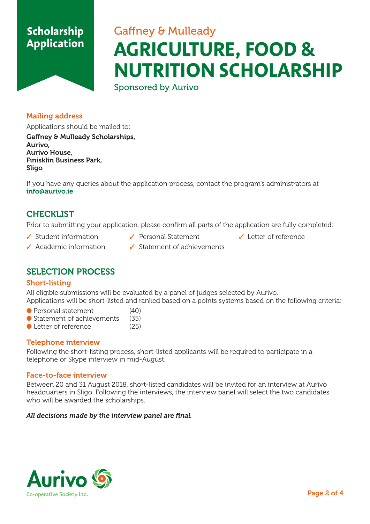# Gaffney & Mulleady **AGRICULTURE, FOOD & NUTRITION SCHOLARSHIP**

Sponsored by Aurivo

### **Mailing address**

Applications should be mailed to:

**Gaffney & Mulleady Scholarships, Aurivo, Aurivo House, Finisklin Business Park, Sligo**

If you have any queries about the application process, contact the program's administrators at **info@aurivo.ie**

## **CHECKLIST**

Prior to submitting your application, please confirm all parts of the application are fully completed:

- ✓ Student information ✓ Personal Statement ✓ Letter of reference
	-
- 

- 
- ✓ Academic information ✓ Statement of achievements

## **SELECTION PROCESS**

### **Short-listing**

All eligible submissions will be evaluated by a panel of judges selected by Aurivo. Applications will be short-listed and ranked based on a points systems based on the following criteria:

- Personal statement (40)
- Statement of achievements (35)
- Letter of reference (25)

### **Telephone interview**

Following the short-listing process, short-listed applicants will be required to participate in a telephone or Skype interview in mid-August.

### **Face-to-face interview**

Between 20 and 31 August 2018, short-listed candidates will be invited for an interview at Aurivo headquarters in Sligo. Following the interviews, the interview panel will select the two candidates who will be awarded the scholarships.

#### *All decisions made by the interview panel are final.*

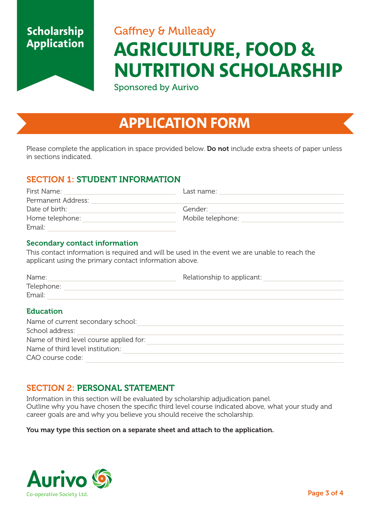# Gaffney & Mulleady **AGRICULTURE, FOOD & NUTRITION SCHOLARSHIP**

Sponsored by Aurivo

# **APPLICATION FORM**

Please complete the application in space provided below. **Do not** include extra sheets of paper unless in sections indicated.

## **SECTION 1: STUDENT INFORMATION**

| First Name:        | Last name:        |  |
|--------------------|-------------------|--|
| Permanent Address: |                   |  |
| Date of birth:     | Gender:           |  |
| Home telephone:    | Mobile telephone: |  |
| Email:             |                   |  |

### **Secondary contact information**

This contact information is required and will be used in the event we are unable to reach the applicant using the primary contact information above.

| Name:            | Relationship to applicant: |
|------------------|----------------------------|
| Telephone:       |                            |
| Email:           |                            |
| <b>Education</b> |                            |

### Name of current secondary school: School address: Name of third level course applied for: Name of third level institution: CAO course code:

## **SECTION 2: PERSONAL STATEMENT**

Information in this section will be evaluated by scholarship adjudication panel. Outline why you have chosen the specific third level course indicated above, what your study and career goals are and why you believe you should receive the scholarship.

#### **You may type this section on a separate sheet and attach to the application.**